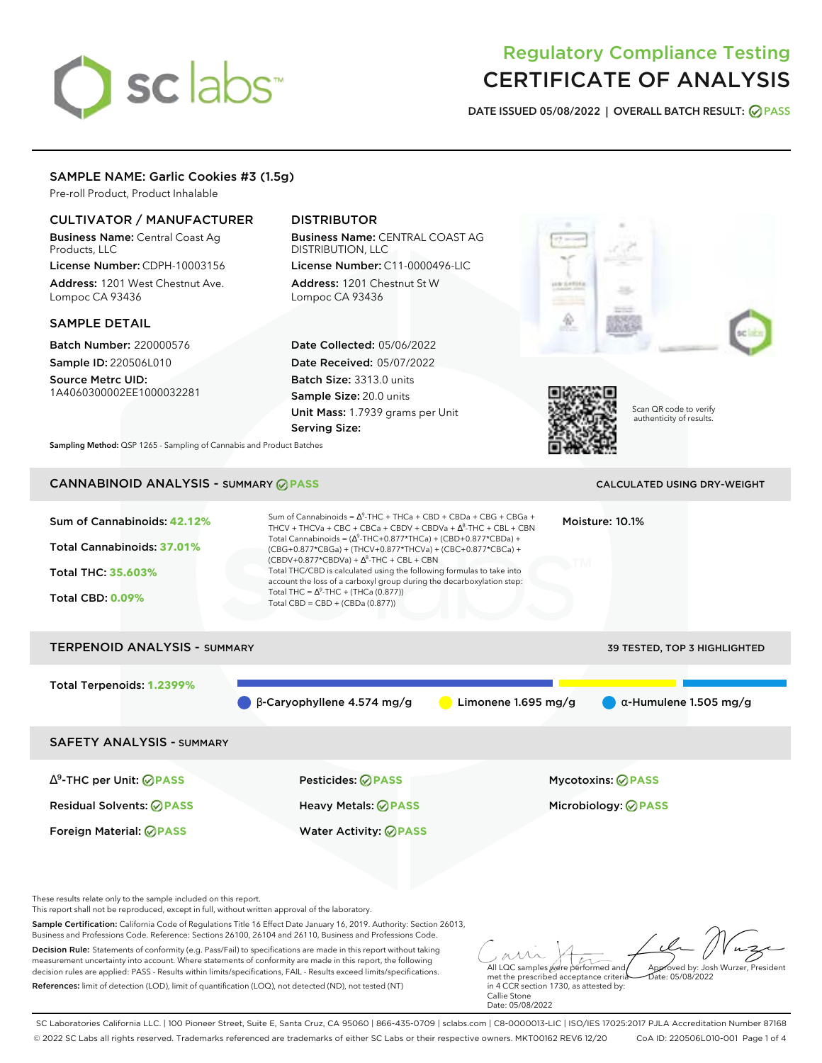# sclabs<sup>\*</sup>

# Regulatory Compliance Testing CERTIFICATE OF ANALYSIS

**DATE ISSUED 05/08/2022 | OVERALL BATCH RESULT: PASS**

# SAMPLE NAME: Garlic Cookies #3 (1.5g)

Pre-roll Product, Product Inhalable

# CULTIVATOR / MANUFACTURER

Business Name: Central Coast Ag Products, LLC

License Number: CDPH-10003156 Address: 1201 West Chestnut Ave. Lompoc CA 93436

# SAMPLE DETAIL

Batch Number: 220000576 Sample ID: 220506L010

Source Metrc UID: 1A4060300002EE1000032281

# DISTRIBUTOR

Business Name: CENTRAL COAST AG DISTRIBUTION, LLC

License Number: C11-0000496-LIC Address: 1201 Chestnut St W Lompoc CA 93436

Date Collected: 05/06/2022 Date Received: 05/07/2022 Batch Size: 3313.0 units Sample Size: 20.0 units Unit Mass: 1.7939 grams per Unit Serving Size:





Scan QR code to verify authenticity of results.

**Sampling Method:** QSP 1265 - Sampling of Cannabis and Product Batches

# CANNABINOID ANALYSIS - SUMMARY **PASS** CALCULATED USING DRY-WEIGHT

| Sum of Cannabinoids: 42.12%<br>Total Cannabinoids: 37.01%<br><b>Total THC: 35,603%</b><br><b>Total CBD: 0.09%</b> | Sum of Cannabinoids = $\Delta^9$ -THC + THCa + CBD + CBDa + CBG + CBGa +<br>Moisture: 10.1%<br>THCV + THCVa + CBC + CBCa + CBDV + CBDVa + $\Delta^8$ -THC + CBL + CBN<br>Total Cannabinoids = $(\Delta^9$ -THC+0.877*THCa) + (CBD+0.877*CBDa) +<br>(CBG+0.877*CBGa) + (THCV+0.877*THCVa) + (CBC+0.877*CBCa) +<br>$(CBDV+0.877*CBDVa) + \Delta^8$ -THC + CBL + CBN<br>Total THC/CBD is calculated using the following formulas to take into<br>account the loss of a carboxyl group during the decarboxylation step:<br>Total THC = $\Delta^9$ -THC + (THCa (0.877))<br>Total CBD = CBD + (CBDa (0.877)) |                     |                                                 |  |  |
|-------------------------------------------------------------------------------------------------------------------|---------------------------------------------------------------------------------------------------------------------------------------------------------------------------------------------------------------------------------------------------------------------------------------------------------------------------------------------------------------------------------------------------------------------------------------------------------------------------------------------------------------------------------------------------------------------------------------------------------|---------------------|-------------------------------------------------|--|--|
| <b>TERPENOID ANALYSIS - SUMMARY</b>                                                                               |                                                                                                                                                                                                                                                                                                                                                                                                                                                                                                                                                                                                         |                     | 39 TESTED, TOP 3 HIGHLIGHTED                    |  |  |
| Total Terpenoids: 1.2399%                                                                                         | $\beta$ -Caryophyllene 4.574 mg/g                                                                                                                                                                                                                                                                                                                                                                                                                                                                                                                                                                       | Limonene 1.695 mg/g | $\alpha$ -Humulene 1.505 mg/g                   |  |  |
| <b>SAFETY ANALYSIS - SUMMARY</b>                                                                                  |                                                                                                                                                                                                                                                                                                                                                                                                                                                                                                                                                                                                         |                     |                                                 |  |  |
| $\Delta^9$ -THC per Unit: $\bigcirc$ PASS<br><b>Residual Solvents: ⊘PASS</b><br>Foreign Material: <b>⊘ PASS</b>   | Pesticides: ⊘PASS<br>Heavy Metals: ⊘PASS<br><b>Water Activity: ◎ PASS</b>                                                                                                                                                                                                                                                                                                                                                                                                                                                                                                                               |                     | <b>Mycotoxins: ⊘PASS</b><br>Microbiology: @PASS |  |  |

These results relate only to the sample included on this report.

This report shall not be reproduced, except in full, without written approval of the laboratory.

Sample Certification: California Code of Regulations Title 16 Effect Date January 16, 2019. Authority: Section 26013, Business and Professions Code. Reference: Sections 26100, 26104 and 26110, Business and Professions Code.

Decision Rule: Statements of conformity (e.g. Pass/Fail) to specifications are made in this report without taking measurement uncertainty into account. Where statements of conformity are made in this report, the following decision rules are applied: PASS - Results within limits/specifications, FAIL - Results exceed limits/specifications. References: limit of detection (LOD), limit of quantification (LOQ), not detected (ND), not tested (NT)

All LQC samples were performed and Approved by: Josh Wurzer, President Date: 05/08/2022

met the prescribed acceptance criteria in 4 CCR section 1730, as attested by: Callie Stone Date: 05/08/2022

SC Laboratories California LLC. | 100 Pioneer Street, Suite E, Santa Cruz, CA 95060 | 866-435-0709 | sclabs.com | C8-0000013-LIC | ISO/IES 17025:2017 PJLA Accreditation Number 87168 © 2022 SC Labs all rights reserved. Trademarks referenced are trademarks of either SC Labs or their respective owners. MKT00162 REV6 12/20 CoA ID: 220506L010-001 Page 1 of 4